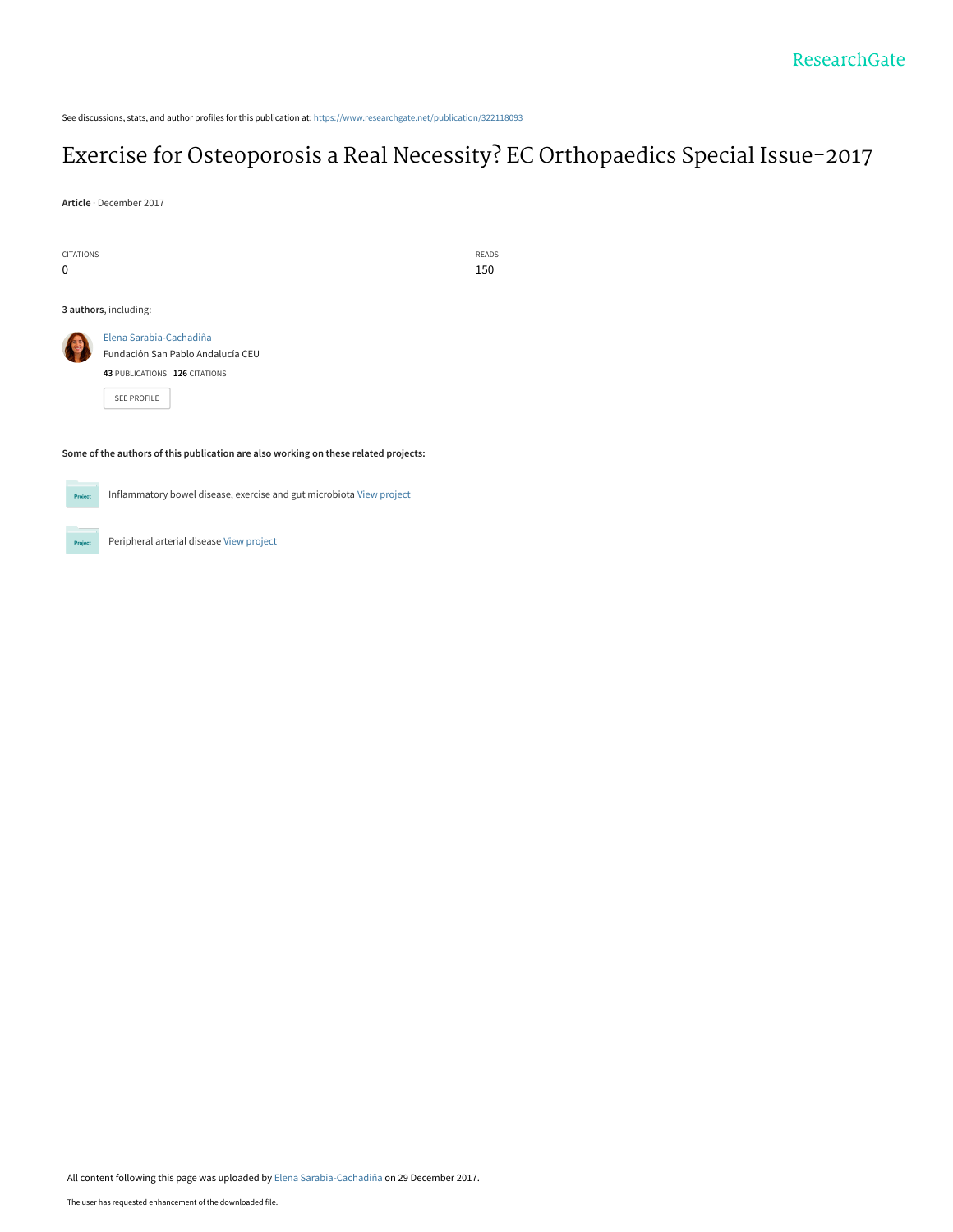See discussions, stats, and author profiles for this publication at: [https://www.researchgate.net/publication/322118093](https://www.researchgate.net/publication/322118093_Exercise_for_Osteoporosis_a_Real_Necessity_EC_Orthopaedics_Special_Issue-2017?enrichId=rgreq-c86fff7a578ed0e1576162f9e83a862c-XXX&enrichSource=Y292ZXJQYWdlOzMyMjExODA5MztBUzo1NzY4NjU3ODI3Nzk5MDRAMTUxNDU0NjkyODY1Mg%3D%3D&el=1_x_2&_esc=publicationCoverPdf)

# [Exercise for Osteoporosis a Real Necessity? EC Orthopaedics Special Issue-2017](https://www.researchgate.net/publication/322118093_Exercise_for_Osteoporosis_a_Real_Necessity_EC_Orthopaedics_Special_Issue-2017?enrichId=rgreq-c86fff7a578ed0e1576162f9e83a862c-XXX&enrichSource=Y292ZXJQYWdlOzMyMjExODA5MztBUzo1NzY4NjU3ODI3Nzk5MDRAMTUxNDU0NjkyODY1Mg%3D%3D&el=1_x_3&_esc=publicationCoverPdf)

**Article** · December 2017

| CITATIONS<br>0                                                                                                    | READS<br>150 |
|-------------------------------------------------------------------------------------------------------------------|--------------|
| 3 authors, including:                                                                                             |              |
| Elena Sarabia-Cachadiña<br>B<br>Fundación San Pablo Andalucía CEU<br>43 PUBLICATIONS 126 CITATIONS<br>SEE PROFILE |              |
| Some of the authors of this publication are also working on these related projects:                               |              |

Project

Inflammatory bowel disease, exercise and gut microbiota [View project](https://www.researchgate.net/project/Inflammatory-bowel-disease-exercise-and-gut-microbiota?enrichId=rgreq-c86fff7a578ed0e1576162f9e83a862c-XXX&enrichSource=Y292ZXJQYWdlOzMyMjExODA5MztBUzo1NzY4NjU3ODI3Nzk5MDRAMTUxNDU0NjkyODY1Mg%3D%3D&el=1_x_9&_esc=publicationCoverPdf)

Project

Peripheral arterial disease [View project](https://www.researchgate.net/project/Peripheral-arterial-disease-2?enrichId=rgreq-c86fff7a578ed0e1576162f9e83a862c-XXX&enrichSource=Y292ZXJQYWdlOzMyMjExODA5MztBUzo1NzY4NjU3ODI3Nzk5MDRAMTUxNDU0NjkyODY1Mg%3D%3D&el=1_x_9&_esc=publicationCoverPdf)

All content following this page was uploaded by [Elena Sarabia-Cachadiña](https://www.researchgate.net/profile/Elena_Sarabia-Cachadina?enrichId=rgreq-c86fff7a578ed0e1576162f9e83a862c-XXX&enrichSource=Y292ZXJQYWdlOzMyMjExODA5MztBUzo1NzY4NjU3ODI3Nzk5MDRAMTUxNDU0NjkyODY1Mg%3D%3D&el=1_x_10&_esc=publicationCoverPdf) on 29 December 2017.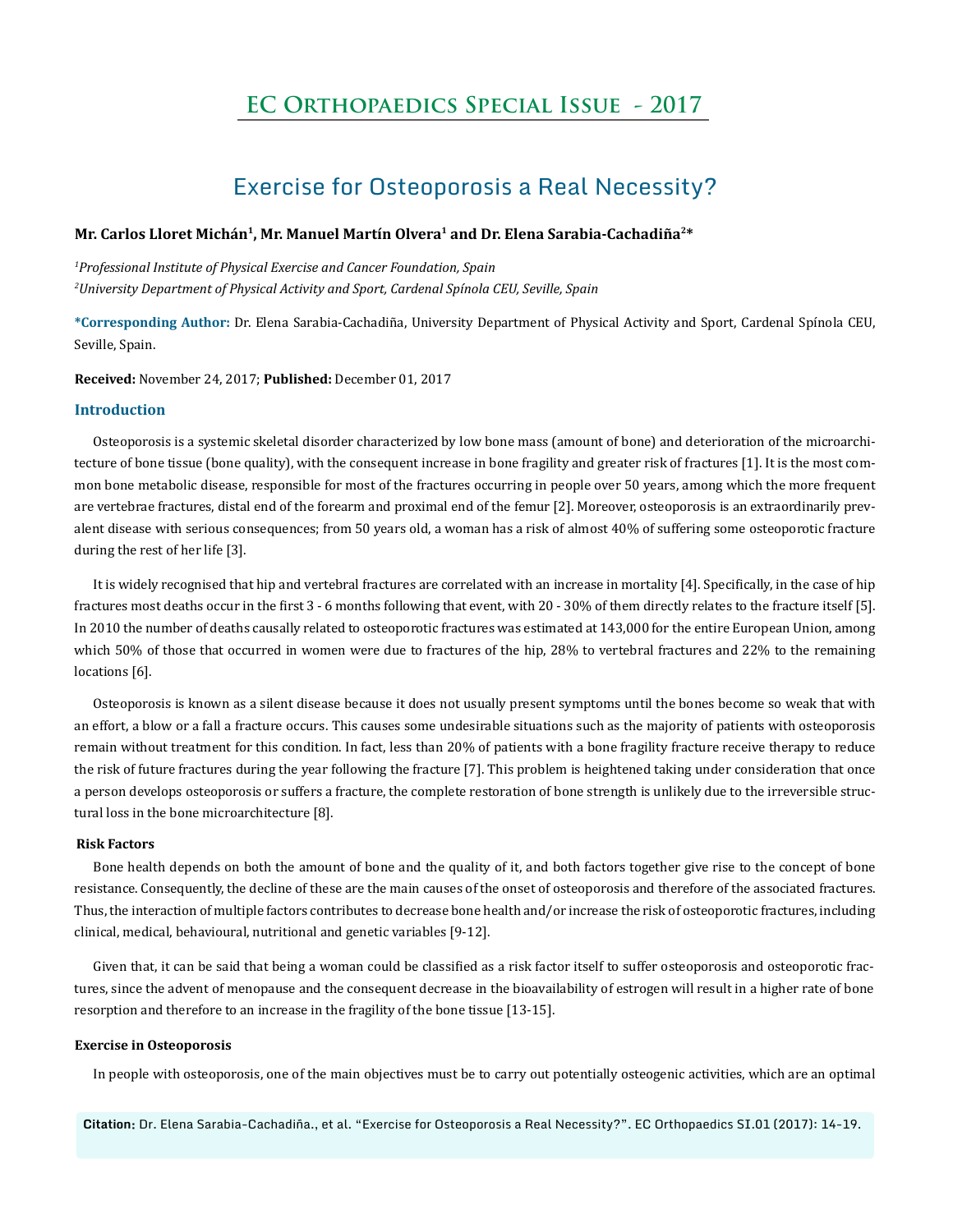# **EC Orthopaedics Special Issue - 2017**

## Exercise for Osteoporosis a Real Necessity?

### **Mr. Carlos Lloret Michán1, Mr. Manuel Martín Olvera1 and Dr. Elena Sarabia-Cachadiña2\***

*1 Professional Institute of Physical Exercise and Cancer Foundation, Spain 2 University Department of Physical Activity and Sport, Cardenal Spínola CEU, Seville, Spain*

**\*Corresponding Author:** Dr. Elena Sarabia-Cachadiña, University Department of Physical Activity and Sport, Cardenal Spínola CEU, Seville, Spain.

**Received:** November 24, 2017; **Published:** December 01, 2017

#### **Introduction**

Osteoporosis is a systemic skeletal disorder characterized by low bone mass (amount of bone) and deterioration of the microarchitecture of bone tissue (bone quality), with the consequent increase in bone fragility and greater risk of fractures [1]. It is the most common bone metabolic disease, responsible for most of the fractures occurring in people over 50 years, among which the more frequent are vertebrae fractures, distal end of the forearm and proximal end of the femur [2]. Moreover, osteoporosis is an extraordinarily prevalent disease with serious consequences; from 50 years old, a woman has a risk of almost 40% of suffering some osteoporotic fracture during the rest of her life [3].

It is widely recognised that hip and vertebral fractures are correlated with an increase in mortality [4]. Specifically, in the case of hip fractures most deaths occur in the first 3 - 6 months following that event, with 20 - 30% of them directly relates to the fracture itself [5]. In 2010 the number of deaths causally related to osteoporotic fractures was estimated at 143,000 for the entire European Union, among which 50% of those that occurred in women were due to fractures of the hip, 28% to vertebral fractures and 22% to the remaining locations [6].

Osteoporosis is known as a silent disease because it does not usually present symptoms until the bones become so weak that with an effort, a blow or a fall a fracture occurs. This causes some undesirable situations such as the majority of patients with osteoporosis remain without treatment for this condition. In fact, less than 20% of patients with a bone fragility fracture receive therapy to reduce the risk of future fractures during the year following the fracture [7]. This problem is heightened taking under consideration that once a person develops osteoporosis or suffers a fracture, the complete restoration of bone strength is unlikely due to the irreversible structural loss in the bone microarchitecture [8].

### **Risk Factors**

Bone health depends on both the amount of bone and the quality of it, and both factors together give rise to the concept of bone resistance. Consequently, the decline of these are the main causes of the onset of osteoporosis and therefore of the associated fractures. Thus, the interaction of multiple factors contributes to decrease bone health and/or increase the risk of osteoporotic fractures, including clinical, medical, behavioural, nutritional and genetic variables [9-12].

Given that, it can be said that being a woman could be classified as a risk factor itself to suffer osteoporosis and osteoporotic fractures, since the advent of menopause and the consequent decrease in the bioavailability of estrogen will result in a higher rate of bone resorption and therefore to an increase in the fragility of the bone tissue [13-15].

#### **Exercise in Osteoporosis**

In people with osteoporosis, one of the main objectives must be to carry out potentially osteogenic activities, which are an optimal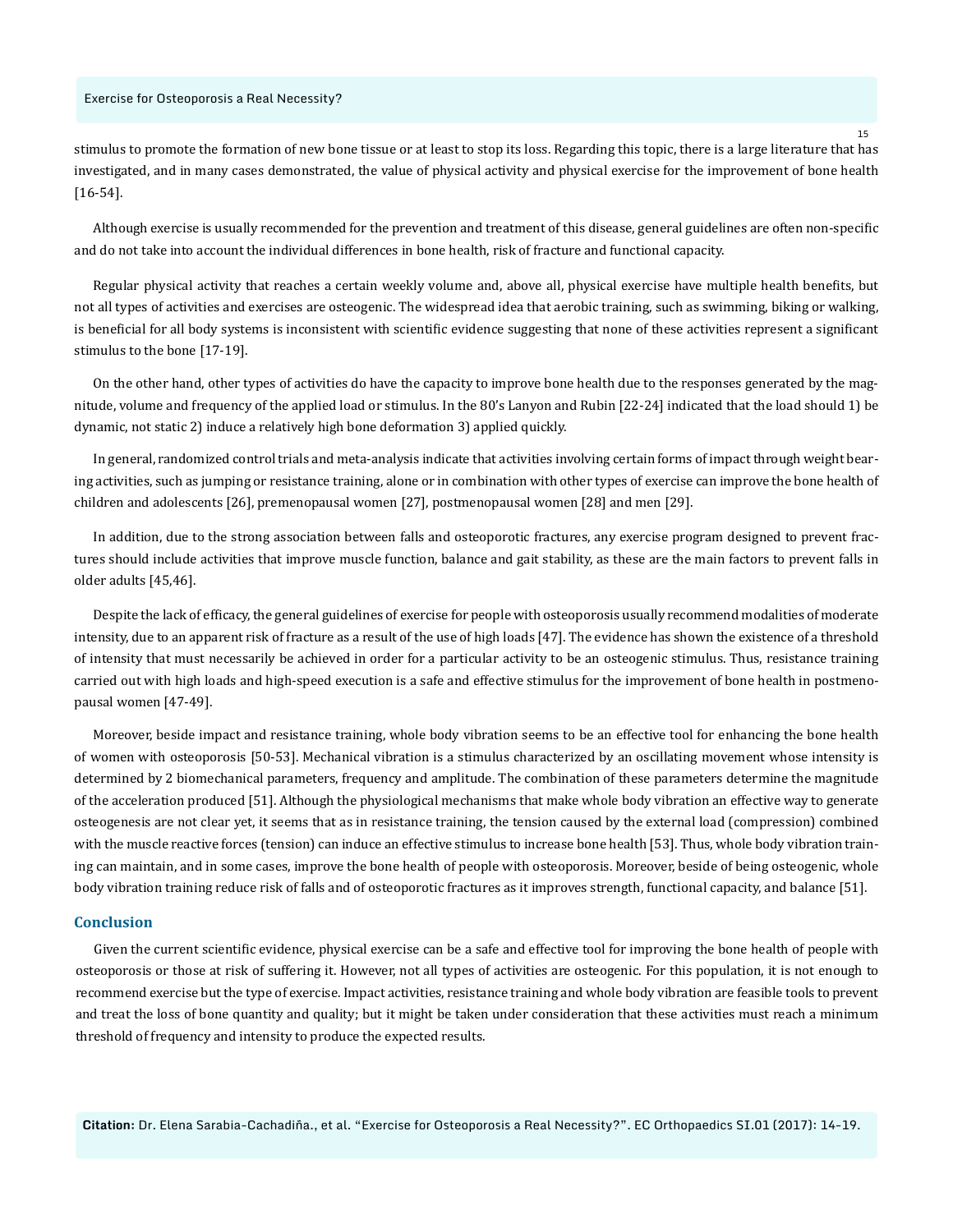#### Exercise for Osteoporosis a Real Necessity?

stimulus to promote the formation of new bone tissue or at least to stop its loss. Regarding this topic, there is a large literature that has investigated, and in many cases demonstrated, the value of physical activity and physical exercise for the improvement of bone health [16-54].

Although exercise is usually recommended for the prevention and treatment of this disease, general guidelines are often non-specific and do not take into account the individual differences in bone health, risk of fracture and functional capacity.

Regular physical activity that reaches a certain weekly volume and, above all, physical exercise have multiple health benefits, but not all types of activities and exercises are osteogenic. The widespread idea that aerobic training, such as swimming, biking or walking, is beneficial for all body systems is inconsistent with scientific evidence suggesting that none of these activities represent a significant stimulus to the bone [17-19].

On the other hand, other types of activities do have the capacity to improve bone health due to the responses generated by the magnitude, volume and frequency of the applied load or stimulus. In the 80's Lanyon and Rubin [22-24] indicated that the load should 1) be dynamic, not static 2) induce a relatively high bone deformation 3) applied quickly.

In general, randomized control trials and meta-analysis indicate that activities involving certain forms of impact through weight bearing activities, such as jumping or resistance training, alone or in combination with other types of exercise can improve the bone health of children and adolescents [26], premenopausal women [27], postmenopausal women [28] and men [29].

In addition, due to the strong association between falls and osteoporotic fractures, any exercise program designed to prevent fractures should include activities that improve muscle function, balance and gait stability, as these are the main factors to prevent falls in older adults [45,46].

Despite the lack of efficacy, the general guidelines of exercise for people with osteoporosis usually recommend modalities of moderate intensity, due to an apparent risk of fracture as a result of the use of high loads [47]. The evidence has shown the existence of a threshold of intensity that must necessarily be achieved in order for a particular activity to be an osteogenic stimulus. Thus, resistance training carried out with high loads and high-speed execution is a safe and effective stimulus for the improvement of bone health in postmenopausal women [47-49].

Moreover, beside impact and resistance training, whole body vibration seems to be an effective tool for enhancing the bone health of women with osteoporosis [50-53]. Mechanical vibration is a stimulus characterized by an oscillating movement whose intensity is determined by 2 biomechanical parameters, frequency and amplitude. The combination of these parameters determine the magnitude of the acceleration produced [51]. Although the physiological mechanisms that make whole body vibration an effective way to generate osteogenesis are not clear yet, it seems that as in resistance training, the tension caused by the external load (compression) combined with the muscle reactive forces (tension) can induce an effective stimulus to increase bone health [53]. Thus, whole body vibration training can maintain, and in some cases, improve the bone health of people with osteoporosis. Moreover, beside of being osteogenic, whole body vibration training reduce risk of falls and of osteoporotic fractures as it improves strength, functional capacity, and balance [51].

#### **Conclusion**

Given the current scientific evidence, physical exercise can be a safe and effective tool for improving the bone health of people with osteoporosis or those at risk of suffering it. However, not all types of activities are osteogenic. For this population, it is not enough to recommend exercise but the type of exercise. Impact activities, resistance training and whole body vibration are feasible tools to prevent and treat the loss of bone quantity and quality; but it might be taken under consideration that these activities must reach a minimum threshold of frequency and intensity to produce the expected results.

**Citation:** Dr. Elena Sarabia-Cachadiña., et al. "Exercise for Osteoporosis a Real Necessity?". EC Orthopaedics SI.01 (2017): 14-19.

15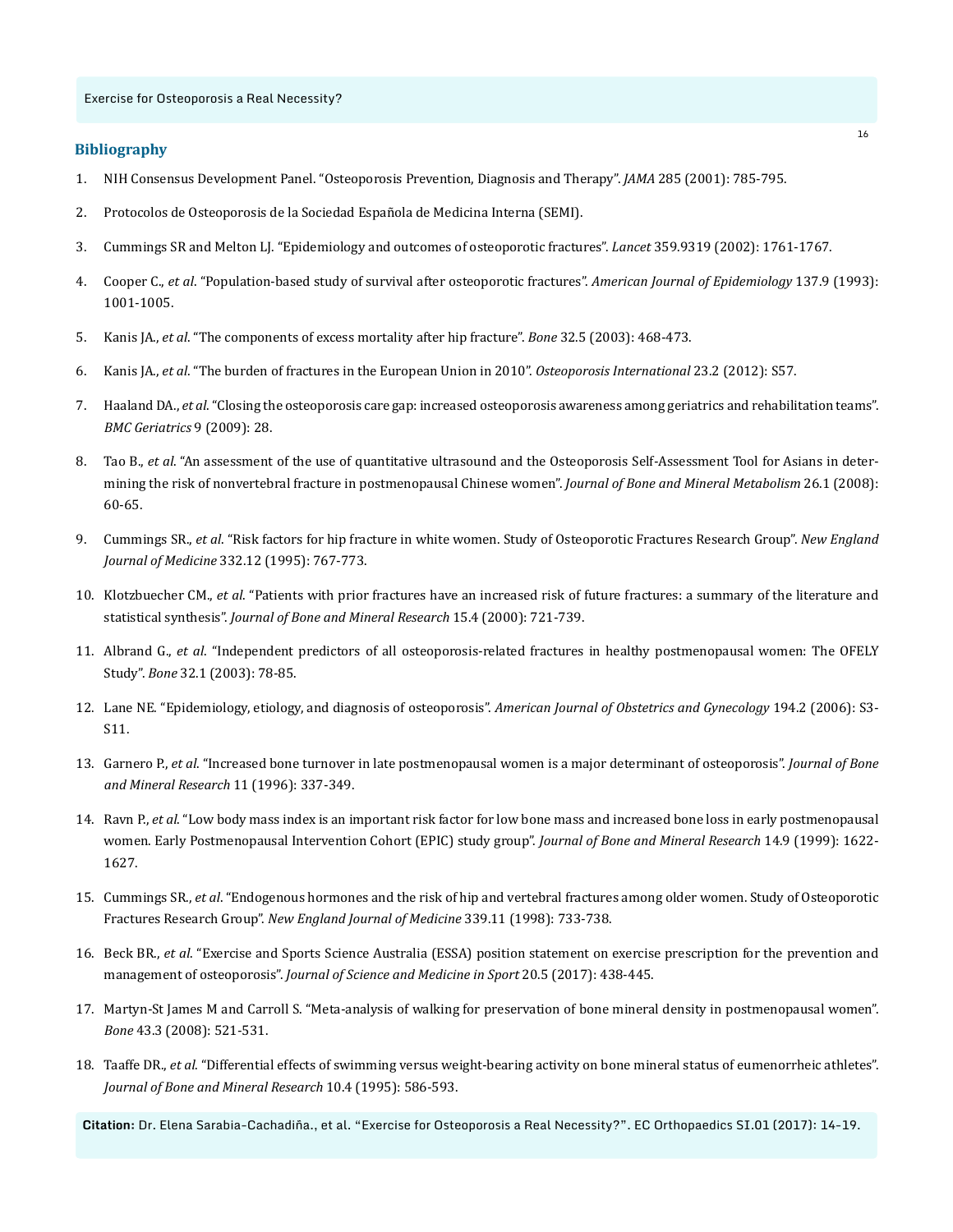#### **Bibliography**

- 1. [NIH Consensus Development Panel. "Osteoporosis Prevention, Diagnosis and Therapy".](https://www.ahcmedia.com/articles/70226-osteoporosis-prevention-diagnosis-and-therapy) *JAMA* 285 (2001): 785-795.
- 2. [Protocolos de Osteoporosis de la Sociedad Española de Medicina Interna \(SEMI\).](https://www.fesemi.org/publicaciones/semi/protocolos)
- 3. [Cummings SR and Melton LJ. "Epidemiology and outcomes of osteoporotic fractures".](https://www.ncbi.nlm.nih.gov/pubmed/12049882) *Lancet* 359.9319 (2002): 1761-1767.
- 4. Cooper C., *et al*[. "Population-based study of survival after osteoporotic fractures".](https://www.ncbi.nlm.nih.gov/pubmed/8317445) *American Journal of Epidemiology* 137.9 (1993): [1001-1005.](https://www.ncbi.nlm.nih.gov/pubmed/8317445)
- 5. Kanis JA., *et al*[. "The components of excess mortality after hip fracture".](https://www.ncbi.nlm.nih.gov/pubmed/12753862) *Bone* 32.5 (2003): 468-473.
- 6. Kanis JA., *et al*[. "The burden of fractures in the European Union in 2010".](https://www.ndorms.ox.ac.uk/publications/366439) *Osteoporosis International* 23.2 (2012): S57.
- 7. Haaland DA., *et al*[. "Closing the osteoporosis care gap: increased osteoporosis awareness among geriatrics and rehabilitation teams".](https://www.ncbi.nlm.nih.gov/pubmed/19602246) *[BMC Geriatrics](https://www.ncbi.nlm.nih.gov/pubmed/19602246)* 9 (2009): 28.
- 8. Tao B., *et al*[. "An assessment of the use of quantitative ultrasound and the Osteoporosis Self-Assessment Tool for Asians in deter](https://www.ncbi.nlm.nih.gov/pubmed/18095065)[mining the risk of nonvertebral fracture in postmenopausal Chinese women".](https://www.ncbi.nlm.nih.gov/pubmed/18095065) *Journal of Bone and Mineral Metabolism* 26.1 (2008): [60-65.](https://www.ncbi.nlm.nih.gov/pubmed/18095065)
- 9. Cummings SR., *et al*[. "Risk factors for hip fracture in white women. Study of Osteoporotic Fractures Research Group".](https://www.ncbi.nlm.nih.gov/pubmed/7862179) *New England Journal of Medicine* [332.12 \(1995\): 767-773.](https://www.ncbi.nlm.nih.gov/pubmed/7862179)
- 10. Klotzbuecher CM., *et al*[. "Patients with prior fractures have an increased risk of future fractures: a summary of the literature and](https://www.ncbi.nlm.nih.gov/pubmed/10780864)  statistical synthesis". *[Journal of Bone and Mineral Research](https://www.ncbi.nlm.nih.gov/pubmed/10780864)* 15.4 (2000): 721-739.
- 11. Albrand G., *et al*[. "Independent predictors of all osteoporosis-related fractures in healthy postmenopausal women: The OFELY](https://www.ncbi.nlm.nih.gov/pubmed/12584039)  Study". *Bone* [32.1 \(2003\): 78-85.](https://www.ncbi.nlm.nih.gov/pubmed/12584039)
- 12. [Lane NE. "Epidemiology, etiology, and diagnosis of osteoporosis".](https://www.ncbi.nlm.nih.gov/pubmed/16448873) *American Journal of Obstetrics and Gynecology* 194.2 (2006): S3- [S11.](https://www.ncbi.nlm.nih.gov/pubmed/16448873)
- 13. Garnero P., *et al*[. "Increased bone turnover in late postmenopausal women is a major determinant of osteoporosis".](https://www.ncbi.nlm.nih.gov/pubmed/8852944) *Journal of Bone [and Mineral Research](https://www.ncbi.nlm.nih.gov/pubmed/8852944)* 11 (1996): 337-349.
- 14. Ravn P., *et al*[. "Low body mass index is an important risk factor for low bone mass and increased bone loss in early postmenopausal](https://www.ncbi.nlm.nih.gov/pubmed/10469292)  [women. Early Postmenopausal Intervention Cohort \(EPIC\) study group".](https://www.ncbi.nlm.nih.gov/pubmed/10469292) *Journal of Bone and Mineral Research* 14.9 (1999): 1622- [1627.](https://www.ncbi.nlm.nih.gov/pubmed/10469292)
- 15. Cummings SR., *et al*[. "Endogenous hormones and the risk of hip and vertebral fractures among older women. Study of Osteoporotic](https://www.ncbi.nlm.nih.gov/pubmed/9731089)  Fractures Research Group". *[New England Journal of Medicine](https://www.ncbi.nlm.nih.gov/pubmed/9731089)* 339.11 (1998): 733-738.
- 16. Beck BR., *et al*[. "Exercise and Sports Science Australia \(ESSA\) position statement on exercise prescription for the prevention and](https://www.ncbi.nlm.nih.gov/pubmed/27840033)  management of osteoporosis". *[Journal of Science and Medicine in Sport](https://www.ncbi.nlm.nih.gov/pubmed/27840033)* 20.5 (2017): 438-445.
- 17. [Martyn-St James M and Carroll S. "Meta-analysis of walking for preservation of bone mineral density in postmenopausal women".](https://www.ncbi.nlm.nih.gov/pubmed/18602880)  *Bone* [43.3 \(2008\): 521-531.](https://www.ncbi.nlm.nih.gov/pubmed/18602880)
- 18. Taaffe DR., *et al*[. "Differential effects of swimming versus weight-bearing activity on bone mineral status of eumenorrheic athletes".](https://www.ncbi.nlm.nih.gov/pubmed/7610929)  *[Journal of Bone and Mineral Research](https://www.ncbi.nlm.nih.gov/pubmed/7610929)* 10.4 (1995): 586-593.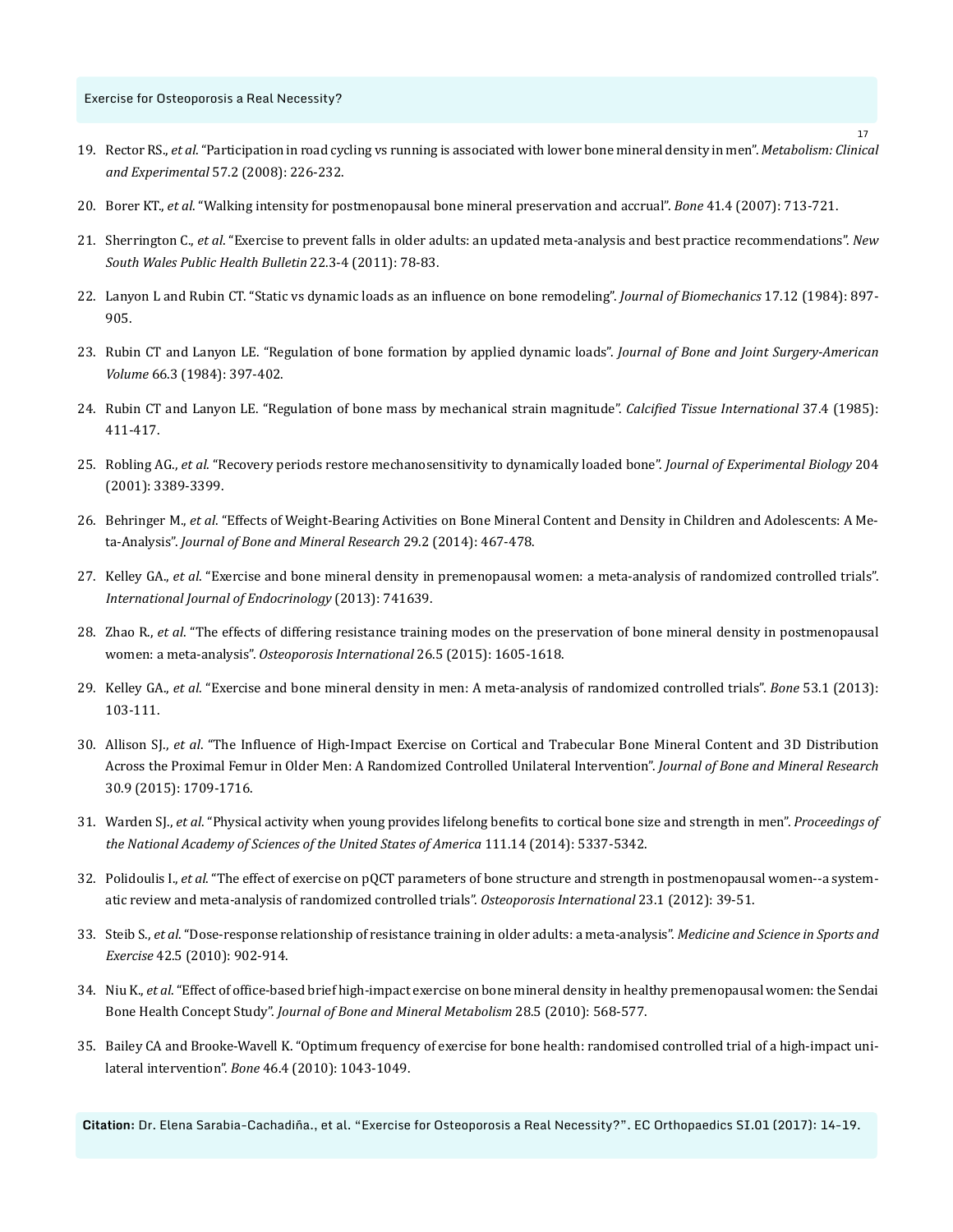- 19. Rector RS., *et al*[. "Participation in road cycling vs running is associated with lower bone mineral density in men".](https://www.ncbi.nlm.nih.gov/pubmed/18191053) *Metabolism: Clinical and Experimental* [57.2 \(2008\): 226-232.](https://www.ncbi.nlm.nih.gov/pubmed/18191053)
- 20. Borer KT., *et al*[. "Walking intensity for postmenopausal bone mineral preservation and accrual".](https://www.ncbi.nlm.nih.gov/pubmed/17686670) *Bone* 41.4 (2007): 713-721.
- 21. Sherrington C., *et al*[. "Exercise to prevent falls in older adults: an updated meta-analysis and best practice recommendations".](https://www.ncbi.nlm.nih.gov/pubmed/21632004) *New [South Wales Public Health Bulletin](https://www.ncbi.nlm.nih.gov/pubmed/21632004)* 22.3-4 (2011): 78-83.
- 22. [Lanyon L and Rubin CT. "Static vs dynamic loads as an influence on bone remodeling".](https://www.ncbi.nlm.nih.gov/pubmed/6520138) *Journal of Biomechanics* 17.12 (1984): 897- [905.](https://www.ncbi.nlm.nih.gov/pubmed/6520138)
- 23. [Rubin CT and Lanyon LE. "Regulation of bone formation by applied dynamic loads".](https://www.ncbi.nlm.nih.gov/pubmed/6699056) *Journal of Bone and Joint Surgery-American Volume* [66.3 \(1984\): 397-402.](https://www.ncbi.nlm.nih.gov/pubmed/6699056)
- 24. [Rubin CT and Lanyon LE. "Regulation of bone mass by mechanical strain magnitude".](https://www.ncbi.nlm.nih.gov/pubmed/3930039) *Calcified Tissue International* 37.4 (1985): [411-417.](https://www.ncbi.nlm.nih.gov/pubmed/3930039)
- 25. Robling AG., *et al*[. "Recovery periods restore mechanosensitivity to dynamically loaded bone".](https://www.ncbi.nlm.nih.gov/pubmed/11606612) *Journal of Experimental Biology* 204 [\(2001\): 3389-3399.](https://www.ncbi.nlm.nih.gov/pubmed/11606612)
- 26. Behringer M., *et al*[. "Effects of Weight-Bearing Activities on Bone Mineral Content and Density in Children and Adolescents: A Me](https://www.ncbi.nlm.nih.gov/pubmed/23857721)ta-Analysis". *[Journal of Bone and Mineral Research](https://www.ncbi.nlm.nih.gov/pubmed/23857721)* 29.2 (2014): 467-478.
- 27. Kelley GA., *et al*[. "Exercise and bone mineral density in premenopausal women: a meta-analysis of randomized controlled trials".](https://www.ncbi.nlm.nih.gov/pubmed/23401684)  *[International Journal of Endocrinology](https://www.ncbi.nlm.nih.gov/pubmed/23401684)* (2013): 741639.
- 28. Zhao R., *et al*[. "The effects of differing resistance training modes on the preservation of bone mineral density in postmenopausal](https://www.ncbi.nlm.nih.gov/pubmed/25603795)  women: a meta-analysis". *[Osteoporosis International](https://www.ncbi.nlm.nih.gov/pubmed/25603795)* 26.5 (2015): 1605-1618.
- 29. Kelley GA., *et al*[. "Exercise and bone mineral density in men: A meta-analysis of randomized controlled trials".](https://www.ncbi.nlm.nih.gov/pubmed/23219948) *Bone* 53.1 (2013): [103-111.](https://www.ncbi.nlm.nih.gov/pubmed/23219948)
- 30. Allison SJ., *et al*[. "The Influence of High-Impact Exercise on Cortical and Trabecular Bone Mineral Content and 3D Distribution](https://www.ncbi.nlm.nih.gov/pubmed/25753495)  [Across the Proximal Femur in Older Men: A Randomized Controlled Unilateral Intervention".](https://www.ncbi.nlm.nih.gov/pubmed/25753495) *Journal of Bone and Mineral Research* [30.9 \(2015\): 1709-1716.](https://www.ncbi.nlm.nih.gov/pubmed/25753495)
- 31. Warden SJ., *et al*[. "Physical activity when young provides lifelong benefits to cortical bone size and strength in men".](http://www.pnas.org/content/111/14/5337.abstract) *Proceedings of [the National Academy of Sciences of the United States of America](http://www.pnas.org/content/111/14/5337.abstract)* 111.14 (2014): 5337-5342.
- 32. Polidoulis I., *et al*[. "The effect of exercise on pQCT parameters of bone structure and strength in postmenopausal women--a system](https://www.ncbi.nlm.nih.gov/pubmed/21811864)[atic review and meta-analysis of randomized controlled trials".](https://www.ncbi.nlm.nih.gov/pubmed/21811864) *Osteoporosis International* 23.1 (2012): 39-51.
- 33. Steib S., *et al*[. "Dose-response relationship of resistance training in older adults: a meta-analysis".](https://www.ncbi.nlm.nih.gov/pubmed/19996996) *Medicine and Science in Sports and Exercise* [42.5 \(2010\): 902-914.](https://www.ncbi.nlm.nih.gov/pubmed/19996996)
- 34. Niu K., *et al*[. "Effect of office-based brief high-impact exercise on bone mineral density in healthy premenopausal women: the Sendai](https://www.ncbi.nlm.nih.gov/pubmed/20349354)  Bone Health Concept Study". *[Journal of Bone and Mineral Metabolism](https://www.ncbi.nlm.nih.gov/pubmed/20349354)* 28.5 (2010): 568-577.
- 35. [Bailey CA and Brooke-Wavell K. "Optimum frequency of exercise for bone health: randomised controlled trial of a high-impact uni](https://www.ncbi.nlm.nih.gov/pubmed/20004758)lateral intervention". *Bone* [46.4 \(2010\): 1043-1049.](https://www.ncbi.nlm.nih.gov/pubmed/20004758)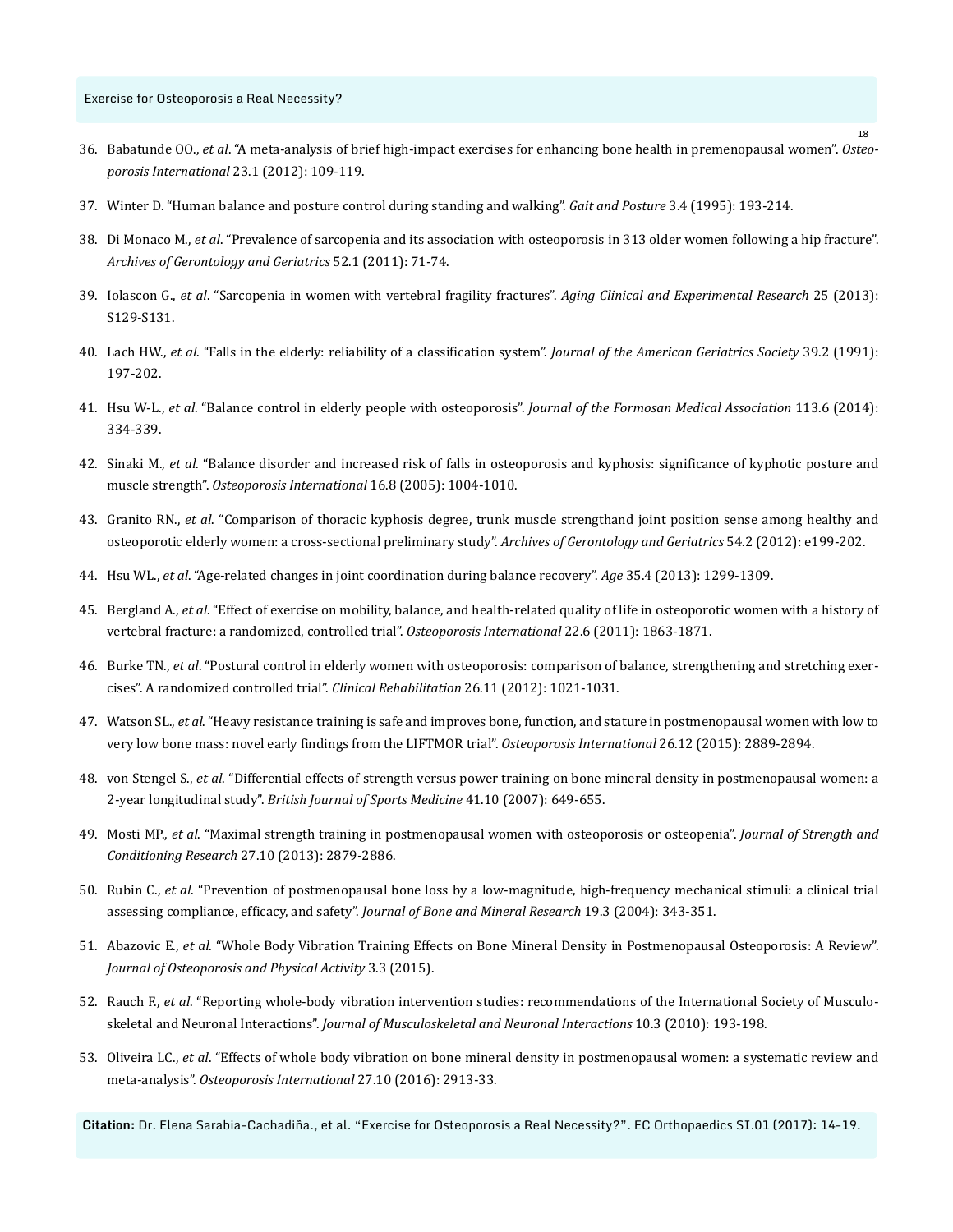- 36. Babatunde OO., *et al*[. "A meta-analysis of brief high-impact exercises for enhancing bone health in premenopausal women".](https://www.ncbi.nlm.nih.gov/pubmed/21953474) *Osteo[porosis International](https://www.ncbi.nlm.nih.gov/pubmed/21953474)* 23.1 (2012): 109-119.
- 37. [Winter D. "Human balance and posture control during standing and walking".](http://www.sciencedirect.com/science/article/pii/0966636296828499?cc%3Dy) *Gait and Posture* 3.4 (1995): 193-214.
- 38. Di Monaco M., *et al*[. "Prevalence of sarcopenia and its association with osteoporosis in 313 older women following a hip fracture".](https://www.ncbi.nlm.nih.gov/pubmed/20207030)  *[Archives of Gerontology and Geriatrics](https://www.ncbi.nlm.nih.gov/pubmed/20207030)* 52.1 (2011): 71-74.
- 39. Iolascon G., *et al*[. "Sarcopenia in women with vertebral fragility fractures".](https://www.ncbi.nlm.nih.gov/pubmed/24046029) *Aging Clinical and Experimental Research* 25 (2013): [S129-S131.](https://www.ncbi.nlm.nih.gov/pubmed/24046029)
- 40. Lach HW., *et al*[. "Falls in the elderly: reliability of a classification system".](https://www.ncbi.nlm.nih.gov/pubmed/1991951) *Journal of the American Geriatrics Society* 39.2 (1991): [197-202.](https://www.ncbi.nlm.nih.gov/pubmed/1991951)
- 41. Hsu W-L., *et al*[. "Balance control in elderly people with osteoporosis".](https://www.ncbi.nlm.nih.gov/pubmed/24650494) *Journal of the Formosan Medical Association* 113.6 (2014): [334-339.](https://www.ncbi.nlm.nih.gov/pubmed/24650494)
- 42. Sinaki M., *et al*[. "Balance disorder and increased risk of falls in osteoporosis and kyphosis: significance of kyphotic posture and](https://www.ncbi.nlm.nih.gov/pubmed/15549266)  muscle strength". *[Osteoporosis International](https://www.ncbi.nlm.nih.gov/pubmed/15549266)* 16.8 (2005): 1004-1010.
- 43. Granito RN., *et al*[. "Comparison of thoracic kyphosis degree, trunk muscle strengthand joint position sense among healthy and](https://www.ncbi.nlm.nih.gov/pubmed/21831460)  [osteoporotic elderly women: a cross-sectional preliminary study".](https://www.ncbi.nlm.nih.gov/pubmed/21831460) *Archives of Gerontology and Geriatrics* 54.2 (2012): e199-202.
- 44. Hsu WL., *et al*[. "Age-related changes in joint coordination during balance recovery".](https://www.ncbi.nlm.nih.gov/pmc/articles/PMC3705105/) *Age* 35.4 (2013): 1299-1309.
- 45. Bergland A., *et al*[. "Effect of exercise on mobility, balance, and health-related quality of life in osteoporotic women with a history of](https://www.ncbi.nlm.nih.gov/pubmed/21060992)  [vertebral fracture: a randomized, controlled trial".](https://www.ncbi.nlm.nih.gov/pubmed/21060992) *Osteoporosis International* 22.6 (2011): 1863-1871.
- 46. Burke TN., *et al*[. "Postural control in elderly women with osteoporosis: comparison of balance, strengthening and stretching exer](https://www.ncbi.nlm.nih.gov/pubmed/22498664)[cises". A randomized controlled trial".](https://www.ncbi.nlm.nih.gov/pubmed/22498664) *Clinical Rehabilitation* 26.11 (2012): 1021-1031.
- 47. Watson SL., *et al*[. "Heavy resistance training is safe and improves bone, function, and stature in postmenopausal women with low to](https://www.ncbi.nlm.nih.gov/pubmed/26243363)  [very low bone mass: novel early findings from the LIFTMOR trial".](https://www.ncbi.nlm.nih.gov/pubmed/26243363) *Osteoporosis International* 26.12 (2015): 2889-2894.
- 48. von Stengel S., *et al*[. "Differential effects of strength versus power training on bone mineral density in postmenopausal women: a](https://www.ncbi.nlm.nih.gov/pmc/articles/PMC2465172/)  2-year longitudinal study". *[British Journal of Sports Medicine](https://www.ncbi.nlm.nih.gov/pmc/articles/PMC2465172/)* 41.10 (2007): 649-655.
- 49. Mosti MP., *et al*[. "Maximal strength training in postmenopausal women with osteoporosis or osteopenia".](https://www.ncbi.nlm.nih.gov/pubmed/23287836) *Journal of Strength and Conditioning Research* [27.10 \(2013\): 2879-2886.](https://www.ncbi.nlm.nih.gov/pubmed/23287836)
- 50. Rubin C., *et al*[. "Prevention of postmenopausal bone loss by a low-magnitude, high-frequency mechanical stimuli: a clinical trial](https://www.ncbi.nlm.nih.gov/pubmed/15040821)  assessing compliance, efficacy, and safety". *[Journal of Bone and Mineral Research](https://www.ncbi.nlm.nih.gov/pubmed/15040821)* 19.3 (2004): 343-351.
- 51. Abazovic E., *et al*[. "Whole Body Vibration Training Effects on Bone Mineral Density in Postmenopausal Osteoporosis: A Review".](http://www.readcube.com/articles/10.4172/2329-9509.1000150)  *[Journal of Osteoporosis and Physical Activity](http://www.readcube.com/articles/10.4172/2329-9509.1000150)* 3.3 (2015).
- 52. Rauch F., *et al*[. "Reporting whole-body vibration intervention studies: recommendations of the International Society of Musculo](https://www.ncbi.nlm.nih.gov/pubmed/20811143)skeletal and Neuronal Interactions". *[Journal of Musculoskeletal and Neuronal Interactions](https://www.ncbi.nlm.nih.gov/pubmed/20811143)* 10.3 (2010): 193-198.
- 53. Oliveira LC., *et al*[. "Effects of whole body vibration on bone mineral density in postmenopausal women: a systematic review and](https://www.ncbi.nlm.nih.gov/pubmed/27145947)  meta-analysis". *[Osteoporosis International](https://www.ncbi.nlm.nih.gov/pubmed/27145947)* 27.10 (2016): 2913-33.